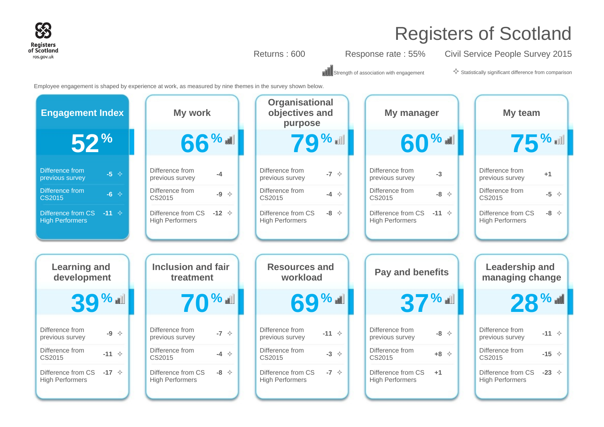

Returns : 600 Response rate : 55% Civil Service People Survey 2015

 $\mathbb{T}$  Strength of association with engagement  $\diamondsuit$  Statistically significant difference from comparison

Employee engagement is shaped by experience at work, as measured by nine themes in the survey shown below.

| <b>Engagement Index</b>                                           | My work                                                    | Organisational<br>objectives and<br>purpose                     | My manager                                                     | My team                                                         |
|-------------------------------------------------------------------|------------------------------------------------------------|-----------------------------------------------------------------|----------------------------------------------------------------|-----------------------------------------------------------------|
| $52^{\circ}$                                                      | 66%                                                        | <b>79%</b>                                                      | 60% of                                                         | <b>75%</b>                                                      |
| <b>Difference from</b><br>$-5 \diamond$<br>previous survey        | Difference from<br>$-4$<br>previous survey                 | Difference from<br>$-7 \div$<br>previous survey                 | Difference from<br>$-3$<br>previous survey                     | Difference from<br>$+1$<br>previous survey                      |
| <b>Difference from</b><br>$-6$ $\leftrightarrow$<br><b>CS2015</b> | Difference from<br>$-9 \div$<br>CS2015                     | Difference from<br>$-4 \rightarrow$<br>CS2015                   | Difference from<br>$-8$ $\diamond$<br>CS2015                   | Difference from<br>$-5 \quad \Leftrightarrow$<br>CS2015         |
| $-11$ $\diamond$<br>Difference from CS<br><b>High Performers</b>  | Difference from CS<br>$-12 \div$<br><b>High Performers</b> | Difference from CS<br>$-8$ $\diamond$<br><b>High Performers</b> | Difference from CS<br>$-11 \diamond$<br><b>High Performers</b> | Difference from CS<br>$-8$ $\diamond$<br><b>High Performers</b> |
|                                                                   |                                                            |                                                                 |                                                                |                                                                 |
| <b>Learning and</b>                                               | <b>Inclusion and fair</b>                                  | <b>Resources and</b>                                            | <b>Pay and benefits</b>                                        | <b>Leadership and</b>                                           |
| development                                                       | treatment                                                  | workload                                                        |                                                                | managing change                                                 |
| <b>39%</b>                                                        | $70$ % of $\blacksquare$                                   | 69% all                                                         | 37%                                                            | $28$ % all                                                      |
| Difference from<br>$-9 \Leftrightarrow$<br>previous survey        | Difference from<br>-7 $\Diamond$<br>previous survey        | Difference from<br>$-11 \diamond$<br>previous survey            | Difference from<br>$-8$ $\diamond$<br>previous survey          | Difference from<br>$-11 \diamond$<br>previous survey            |
| Difference from<br>$-11$ $\diamond$<br>CS2015                     | Difference from<br>$-4$ $\diamond$<br>CS2015               | Difference from<br>$-3$ $\diamond$<br>CS2015                    | Difference from<br>$+8$ $\diamond$<br>CS2015                   | Difference from<br>$-15 \div$<br>CS2015                         |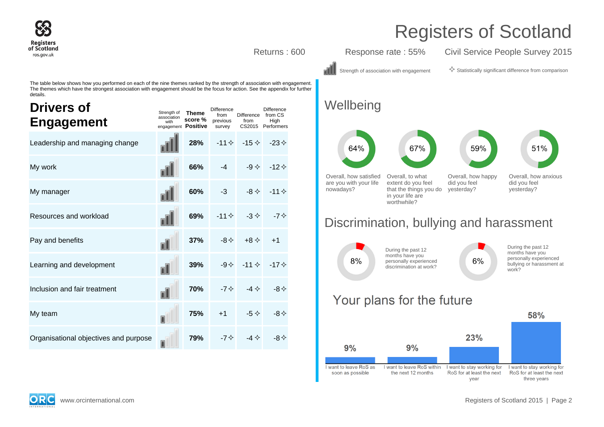

Returns : 600 Response rate : 55% Civil Service People Survey 2015

Strength of association with engagement  $\Diamond$  Statistically significant difference from comparison

The table below shows how you performed on each of the nine themes ranked by the strength of association with engagement. The themes which have the strongest association with engagement should be the focus for action. See the appendix for further details.

| <b>Drivers of</b><br><b>Engagement</b> | Strength of<br>association<br>with<br>engagement Positive | <b>Theme</b><br>score % | <b>Difference</b><br>from<br>previous<br>survey | Difference from CS<br>from | <b>Difference</b><br>High<br>CS2015 Performers |
|----------------------------------------|-----------------------------------------------------------|-------------------------|-------------------------------------------------|----------------------------|------------------------------------------------|
| Leadership and managing change         |                                                           | 28%                     | $-11 \diamondsuit$                              | $-15 \diamondsuit$         | $-23 \diamond$                                 |
| My work                                |                                                           | 66%                     | $-4$                                            | $-9 \diamondsuit$          | $-12 \diamond$                                 |
| My manager                             |                                                           | 60%                     | $-3$                                            | -8 $\leftrightarrow$       | $-11 \diamond$                                 |
| Resources and workload                 |                                                           | 69%                     | $-11 \diamondsuit$                              | $-3 \diamondsuit$          | -7 $\diamond$                                  |
| Pay and benefits                       | пI                                                        | 37%                     | $-8 < 1$                                        | $+8 \diamond$              | $+1$                                           |
| Learning and development               |                                                           | 39%                     | $-9 \diamondsuit$                               | $-11 \diamond$             | -17 $\diamond$                                 |
| Inclusion and fair treatment           |                                                           | 70%                     | -7 $\leftrightarrow$                            | $-4 \Leftrightarrow$       | $-8 \diamondsuit$                              |
| My team                                | П                                                         | 75%                     | $+1$                                            | $-5^{\circ}$               | $-8 <$                                         |
| Organisational objectives and purpose  |                                                           | 79%                     |                                                 | -4 $\diamond$              |                                                |

### **Wellbeing**



### Discrimination, bullying and harassment



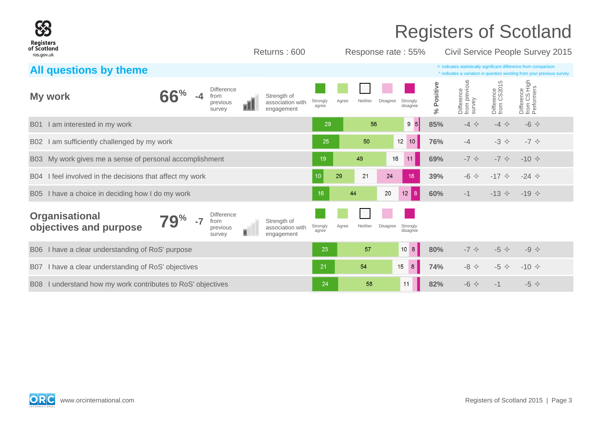|                                                                              |                                                                   |                                               |                   |       |         |                    |                      |            |                                       |                           | <b>Registers of Scotland</b>                                                                                                                       |  |
|------------------------------------------------------------------------------|-------------------------------------------------------------------|-----------------------------------------------|-------------------|-------|---------|--------------------|----------------------|------------|---------------------------------------|---------------------------|----------------------------------------------------------------------------------------------------------------------------------------------------|--|
| <b>Registers</b><br>of Scotland<br>ros.gov.uk                                |                                                                   | Returns: 600                                  |                   |       |         | Response rate: 55% |                      |            |                                       |                           | Civil Service People Survey 2015                                                                                                                   |  |
| All questions by theme                                                       |                                                                   |                                               |                   |       |         |                    |                      |            |                                       |                           | $\Diamond$ indicates statistically significant difference from comparison<br>^ indicates a variation in question wording from your previous survey |  |
| My work                                                                      | <b>Difference</b><br>from<br>previous<br>oll<br>survey            | Strength of<br>association with<br>engagement | Strongly<br>agree | Agree | Neither | Disagree           | Strongly<br>disagree | % Positive | Difference<br>from previous<br>survey | Difference<br>from CS2015 | Difference<br>from CS High<br>Performers                                                                                                           |  |
| I am interested in my work<br><b>B01</b>                                     |                                                                   |                                               | 29                |       | 56      |                    | $9 \t5$              | 85%        | $-4$ $\Leftrightarrow$                | $-4$ $\leftrightarrow$    | $-6$ $\leftrightarrow$                                                                                                                             |  |
| I am sufficiently challenged by my work<br>B02                               |                                                                   |                                               | 25                |       | 50      |                    | $12$ 10              | 76%        | $-4$                                  | $-3$ $\Leftrightarrow$    | $-7$ $\diamondsuit$                                                                                                                                |  |
| My work gives me a sense of personal accomplishment<br><b>B03</b>            |                                                                   |                                               | 19                |       | 49      | 16                 | 11                   | 69%        | $-7$ $\diamond$                       | $-7$ $\diamondsuit$       | $-10 \diamond$                                                                                                                                     |  |
| I feel involved in the decisions that affect my work<br><b>B04</b>           |                                                                   |                                               | 10                | 29    | 21      | 24                 | 16                   | 39%        | $-6$ $\leftrightarrow$                | $-17 \diamond$            | $-24 \diamond$                                                                                                                                     |  |
| I have a choice in deciding how I do my work<br><b>B05</b>                   |                                                                   |                                               | 16                | 44    |         | 20                 | $12 \mid 8 \mid$     | 60%        | $-1$                                  | $-13 \div$                | $-19 \diamond$                                                                                                                                     |  |
| <b>Organisational</b><br>$\mathbf{Q}^{\%}$<br>$-7$<br>objectives and purpose | <b>Difference</b><br>from<br>previous<br>$\blacksquare$<br>survey | Strength of<br>association with<br>engagement | Strongly<br>agree | Agree | Neither | Disagree           | Strongly<br>disagree |            |                                       |                           |                                                                                                                                                    |  |
| I have a clear understanding of RoS' purpose<br><b>B06</b>                   |                                                                   |                                               | 23                |       | 57      |                    | 10 <sub>8</sub>      | 80%        | $-7$ $\diamond$                       | $-5$ $\leftrightarrow$    | $-9 \Leftrightarrow$                                                                                                                               |  |
| I have a clear understanding of RoS' objectives<br><b>B07</b>                |                                                                   |                                               | 21                |       | 54      | 15                 | 8 <sup>°</sup>       | 74%        | $-8$ $\Leftrightarrow$                | $-5$ $\diamond$           | $-10 \diamond$                                                                                                                                     |  |
| I understand how my work contributes to RoS' objectives<br><b>B08</b>        |                                                                   |                                               | 24                |       | 58      | 11                 |                      | 82%        | $-6$ $\leftrightarrow$                | $-1$                      | $-5$ $\diamond$                                                                                                                                    |  |

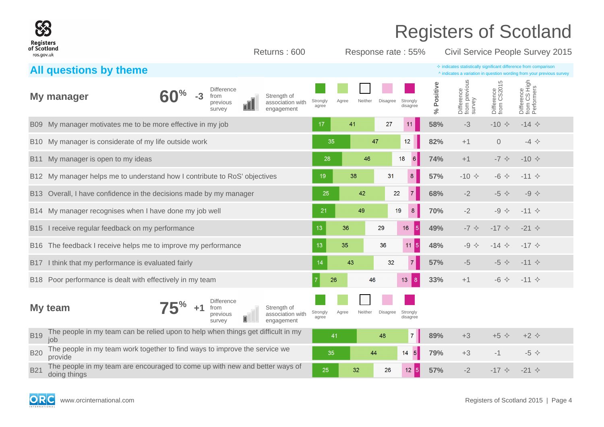| Registers<br>of Scotland<br>ros.gov.uk |                                                                                             | Returns: 600                                        |                   |       |         | Response rate: 55%                      |            | <b>Registers of Scotland</b><br>Civil Service People Survey 2015                                                                                   |                                |                                          |  |
|----------------------------------------|---------------------------------------------------------------------------------------------|-----------------------------------------------------|-------------------|-------|---------|-----------------------------------------|------------|----------------------------------------------------------------------------------------------------------------------------------------------------|--------------------------------|------------------------------------------|--|
|                                        | All questions by theme                                                                      |                                                     |                   |       |         |                                         |            | $\diamond$ indicates statistically significant difference from comparison<br>^ indicates a variation in question wording from your previous survey |                                |                                          |  |
|                                        | <b>Difference</b><br>$-3$<br>My manager<br>from<br>previous<br>survev                       | Strength of<br>association with<br>ПI<br>engagement | Strongly<br>agree | Agree | Neither | Disagree<br>Strongly<br>disagree        | % Positive | Difference<br>from previous<br>survey                                                                                                              | 5<br>Difference<br>from CS2015 | Difference<br>from CS High<br>Performers |  |
| <b>B09</b>                             | My manager motivates me to be more effective in my job                                      |                                                     | 17                | 41    |         | 27<br>11                                | 58%        | $-3$                                                                                                                                               | $-10 \div$                     | $-14$ $\diamond$                         |  |
| B <sub>10</sub>                        | My manager is considerate of my life outside work                                           |                                                     | 35                |       | 47      | 12                                      | 82%        | $+1$                                                                                                                                               | $\Omega$                       | $-4$ $\Leftrightarrow$                   |  |
| B <sub>11</sub>                        | My manager is open to my ideas                                                              |                                                     | 28                |       | 46      | 18<br>6                                 | 74%        | $+1$                                                                                                                                               | $-7$ $\diamondsuit$            | $-10 \div$                               |  |
|                                        | B12 My manager helps me to understand how I contribute to RoS' objectives                   |                                                     | 19                | 38    |         | 31<br>8                                 | 57%        | $-10 \div$                                                                                                                                         | $-6$ $\Leftrightarrow$         | $-11$ $\diamond$                         |  |
| B <sub>13</sub>                        | Overall, I have confidence in the decisions made by my manager                              |                                                     | 25                |       | 42      | $\overline{7}$<br>22                    | 68%        | $-2$                                                                                                                                               | $-5$ $\diamond$                | $-9$ $\diamond$                          |  |
| B14                                    | My manager recognises when I have done my job well                                          |                                                     | 21                |       | 49      | 19<br>8                                 | 70%        | $-2$                                                                                                                                               | $-9 \Leftrightarrow$           | $-11$ $\diamond$                         |  |
| B <sub>15</sub>                        | I receive regular feedback on my performance                                                |                                                     | 13                | 36    | 29      | 16                                      | 49%<br>5   | $-7$ $\diamondsuit$                                                                                                                                | $-17$ $\triangle$              | $-21$ $\diamond$                         |  |
| B <sub>16</sub>                        | The feedback I receive helps me to improve my performance                                   |                                                     | 13                | 35    | 36      | 11                                      | 48%<br>15  | $-9$ $\diamond$                                                                                                                                    | $-14 \diamond$                 | $-17$ $\diamond$                         |  |
| B <sub>17</sub>                        | I think that my performance is evaluated fairly                                             |                                                     | 14                | 43    |         | $\overline{7}$<br>32                    | 57%        | $-5$                                                                                                                                               | $-5 \diamond$                  | $-11 \diamond$                           |  |
|                                        | B18 Poor performance is dealt with effectively in my team                                   |                                                     | 26                |       | 46      | 13<br> 8                                | 33%        | $+1$                                                                                                                                               | $-6$ $\Leftrightarrow$         | $-11$ $\diamond$                         |  |
|                                        | <b>Difference</b><br>My team<br>+1<br>from<br>previous<br>survey                            | Strength of<br>association with<br>engagement       | Strongly<br>agree | Agree | Neither | <b>Disagree</b><br>Strongly<br>disagree |            |                                                                                                                                                    |                                |                                          |  |
| <b>B19</b>                             | The people in my team can be relied upon to help when things get difficult in my<br>iob     |                                                     | 41                |       | 48      | $\overline{7}$                          | 89%        | $+3$                                                                                                                                               | $+5$ $\diamond$                | $+2$ $\Diamond$                          |  |
| <b>B20</b>                             | The people in my team work together to find ways to improve the service we<br>provide       |                                                     | 35                |       | 44      | $\vert 5 \vert$<br>14                   | 79%        | $+3$                                                                                                                                               | $-1$                           | $-5$ $\diamond$                          |  |
| <b>B21</b>                             | The people in my team are encouraged to come up with new and better ways of<br>doing things |                                                     | 25                | 32    |         | 26<br>12 <sub>2</sub>                   | 57%<br>5   | $-2$                                                                                                                                               | $-17$ $\triangle$              | $-21$ $\diamond$                         |  |

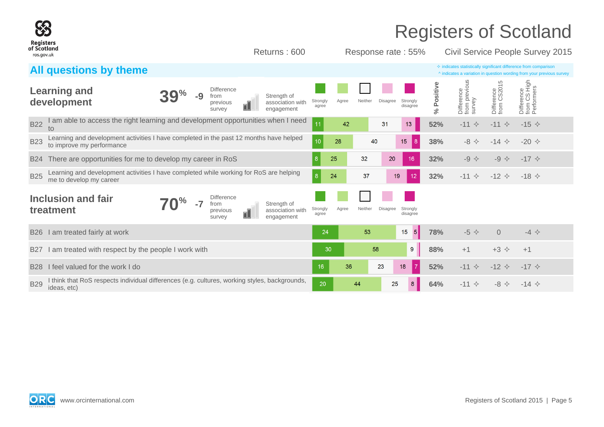| <b>Registers</b>          |                                                                                                                                                     |                   |       |                    |                 |                      |                  |                                       |                                | <b>Registers of Scotland</b>                                                                                                                       |
|---------------------------|-----------------------------------------------------------------------------------------------------------------------------------------------------|-------------------|-------|--------------------|-----------------|----------------------|------------------|---------------------------------------|--------------------------------|----------------------------------------------------------------------------------------------------------------------------------------------------|
| of Scotland<br>ros.gov.uk | Returns: 600                                                                                                                                        |                   |       | Response rate: 55% |                 |                      |                  |                                       |                                | Civil Service People Survey 2015                                                                                                                   |
|                           | All questions by theme                                                                                                                              |                   |       |                    |                 |                      |                  |                                       |                                | $\Diamond$ indicates statistically significant difference from comparison<br>^ indicates a variation in question wording from your previous survey |
|                           | <b>Difference</b><br><b>Learning and</b><br>-9<br>Strength of<br>from<br>development<br>association with<br>previous<br>01.<br>engagement<br>survey | Strongly<br>agree | Agree | Neither            | Disagree        | Strongly<br>disagree | Positive<br>$\%$ | Difference<br>from previous<br>survey | 5<br>Difference<br>from CS2015 | Difference<br>from CS High<br>Performers                                                                                                           |
| <b>B22</b>                | am able to access the right learning and development opportunities when I need<br>to                                                                | 11                | 42    |                    | 31              | 13                   | 52%              | $-11$<br>$\rightsquigarrow$           | $-11$ $\diamond$               | $-15 \diamond$                                                                                                                                     |
| <b>B23</b>                | Learning and development activities I have completed in the past 12 months have helped<br>to improve my performance                                 | 10                | 28    | 40                 |                 | 15<br>8              | 38%              | $-8 \diamond$                         | $-14 \diamond$                 | $-20 \diamond$                                                                                                                                     |
| <b>B24</b>                | There are opportunities for me to develop my career in RoS                                                                                          | 8                 | 25    | 32                 | 20              | 16                   | 32%              | $-9 \Leftrightarrow$                  | $-9$ $\diamond$                | $-17$ $\diamond$                                                                                                                                   |
| <b>B25</b>                | Learning and development activities I have completed while working for RoS are helping<br>me to develop my career                                   | 8 <sup>°</sup>    | 24    | 37                 | 19              | 12                   | 32%              | $-11$ $\diamond$                      | $-12$ $\diamond$               | $-18 \diamond$                                                                                                                                     |
|                           | Inclusion and fair<br><b>Difference</b><br>Strength of<br>from<br>treatment<br>association with<br>previous<br>OL<br>engagement<br>survey           | Strongly<br>agree | Agree | Neither            | <b>Disagree</b> | Strongly<br>disagree |                  |                                       |                                |                                                                                                                                                    |
| <b>B26</b>                | I am treated fairly at work                                                                                                                         | 24                |       | 53                 |                 | 15<br> 5             | 78%              | $-5$ $\diamond$                       | $\Omega$                       | $-4$ $\Leftrightarrow$                                                                                                                             |
| B <sub>27</sub>           | I am treated with respect by the people I work with                                                                                                 |                   | 30    | 58                 |                 | 9                    | 88%              | $+1$                                  | $+3$ $\diamond$                | $+1$                                                                                                                                               |
| <b>B28</b>                | feel valued for the work I do                                                                                                                       | 16                | 36    |                    | 23<br>18        | 7                    | 52%              | $-11$ $\diamond$                      | $-12 \div$                     | $-17$ $\diamond$                                                                                                                                   |
| <b>B29</b>                | think that RoS respects individual differences (e.g. cultures, working styles, backgrounds,<br>ideas, etc)                                          | 20                |       | 44                 | 25              |                      | 64%              | $-11$ $\diamond$                      | $-8$ $\Leftrightarrow$         | $-14 \diamond$                                                                                                                                     |

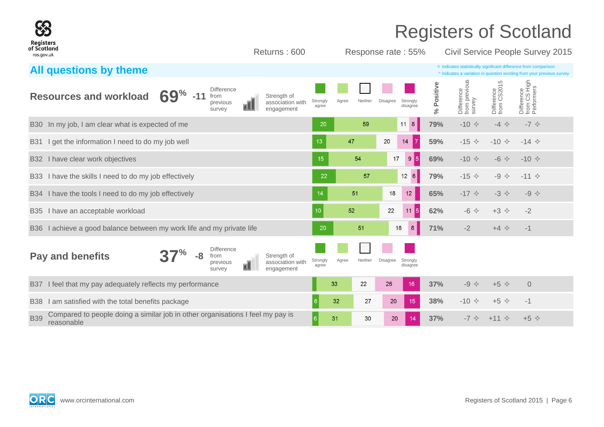|                                                                                 |                                                                                |                 |                                                 |    |                                               |                   |       |         |                 |                      |                | <b>Registers of Scotland</b>                                                                                                                       |                                |                                          |  |
|---------------------------------------------------------------------------------|--------------------------------------------------------------------------------|-----------------|-------------------------------------------------|----|-----------------------------------------------|-------------------|-------|---------|-----------------|----------------------|----------------|----------------------------------------------------------------------------------------------------------------------------------------------------|--------------------------------|------------------------------------------|--|
| Registers<br>of Scotland<br>ros.gov.uk                                          |                                                                                |                 |                                                 |    | Returns: 600                                  |                   |       |         |                 | Response rate: 55%   |                | Civil Service People Survey 2015                                                                                                                   |                                |                                          |  |
| All questions by theme                                                          |                                                                                |                 |                                                 |    |                                               |                   |       |         |                 |                      |                | $\Diamond$ indicates statistically significant difference from comparison<br>^ indicates a variation in question wording from your previous survey |                                |                                          |  |
| <b>Resources and workload</b>                                                   |                                                                                | $69\%$<br>$-11$ | <b>Difference</b><br>from<br>previous<br>survev |    | Strength of<br>association with<br>engagement | Strongly<br>agree | Agree | Neither | Disagree        | Strongly<br>disagree | Positive<br>వ్ | Difference<br>from previous<br>survey                                                                                                              | 5<br>Difference<br>from CS2015 | Difference<br>from CS High<br>Performers |  |
| In my job, I am clear what is expected of me<br><b>B30</b>                      |                                                                                |                 |                                                 |    |                                               | 20                |       | 59      |                 | $11 \quad 8$         | 79%            | $-10 \div$                                                                                                                                         | $-4$ $\Leftrightarrow$         | $-7$ $\diamond$                          |  |
| I get the information I need to do my job well<br><b>B31</b>                    |                                                                                |                 |                                                 |    |                                               | 13                | 47    |         | 20              | 14                   | 59%            | $-15$ $\Diamond$                                                                                                                                   | $-10 \div$                     | $-14 \diamond$                           |  |
| I have clear work objectives<br><b>B32</b>                                      |                                                                                |                 |                                                 |    |                                               | 15                |       | 54      | 17              | 9<br> 5              | 69%            | $-10 \div$                                                                                                                                         | $-6$ $\Leftrightarrow$         | $-10 \div$                               |  |
| I have the skills I need to do my job effectively<br><b>B33</b>                 |                                                                                |                 |                                                 |    |                                               | 22                |       | 57      |                 | $12 \quad 6$         | 79%            | $-15 \diamond$                                                                                                                                     | $-9$ $\Leftrightarrow$         | $-11$ $\diamond$                         |  |
| I have the tools I need to do my job effectively<br><b>B34</b>                  |                                                                                |                 |                                                 |    |                                               | 14                |       | 51      | 18              | 12 <sup>°</sup>      | 65%            | $-17$ $\diamond$                                                                                                                                   | $-3$ $\Leftrightarrow$         | $-9$ $\diamond$                          |  |
| I have an acceptable workload<br><b>B</b> 35                                    |                                                                                |                 |                                                 |    |                                               | 10                | 52    |         | 22              | 5 <br>11             | 62%            | $-6$ $\leftrightarrow$                                                                                                                             | $+3$ $\Diamond$                | $-2$                                     |  |
| I achieve a good balance between my work life and my private life<br><b>B36</b> |                                                                                |                 |                                                 |    |                                               | 20                |       | 51      |                 | 18<br>8              | 71%            | $-2$                                                                                                                                               | $+4$ $\diamond$                | $-1$                                     |  |
| <b>Pay and benefits</b>                                                         |                                                                                | -8              | <b>Difference</b><br>from<br>previous<br>survey | ΩU | Strength of<br>association with<br>engagement | Strongly<br>agree | Agree | Neither | <b>Disagree</b> | Strongly<br>disagree |                |                                                                                                                                                    |                                |                                          |  |
| I feel that my pay adequately reflects my performance<br><b>B37</b>             |                                                                                |                 |                                                 |    |                                               |                   | 33    | 22      | 26              | 16                   | 37%            | $-9$ $\Leftrightarrow$                                                                                                                             | $+5$ $\diamond$                | $\Omega$                                 |  |
| <b>B38</b>                                                                      | I am satisfied with the total benefits package                                 |                 |                                                 |    |                                               |                   | 32    | 27      | 20              | 15                   | 38%            | $-10 \div$                                                                                                                                         | $+5$ $\Diamond$                | $-1$                                     |  |
| <b>B39</b><br>reasonable                                                        | Compared to people doing a similar job in other organisations I feel my pay is |                 |                                                 |    |                                               | 6                 | 31    | 30      | 20              | 14                   | 37%            | $-7$ $\diamond$                                                                                                                                    | $+11$ $\diamond$               | $+5$ $\Diamond$                          |  |

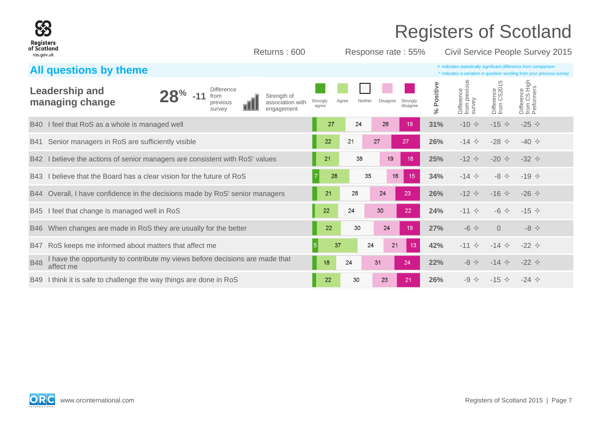| $\mathbf{X}$<br><b>Registers</b>                                                                        |                                               |                            |                                                    |                  |                                       |                           | <b>Registers of Scotland</b>                                                                                                                       |
|---------------------------------------------------------------------------------------------------------|-----------------------------------------------|----------------------------|----------------------------------------------------|------------------|---------------------------------------|---------------------------|----------------------------------------------------------------------------------------------------------------------------------------------------|
| of Scotland<br>ros.gov.uk                                                                               | Returns: 600                                  |                            | Response rate: 55%                                 |                  |                                       |                           | Civil Service People Survey 2015                                                                                                                   |
| All questions by theme                                                                                  |                                               |                            |                                                    |                  |                                       |                           | $\Diamond$ indicates statistically significant difference from comparison<br>^ indicates a variation in question wording from your previous survey |
| <b>Leadership and</b><br><b>Difference</b><br>$-11$<br>from<br>managing change<br>previous<br>survey    | Strength of<br>association with<br>engagement | Strongly<br>Agree<br>agree | Neither<br><b>Disagree</b><br>Strongly<br>disagree | Positive<br>$\%$ | Difference<br>from previous<br>survey | Difference<br>from CS2015 | Difference<br>from CS High<br>Performers                                                                                                           |
| I feel that RoS as a whole is managed well<br><b>B40</b>                                                |                                               | 27<br>24                   | 26<br>19                                           | 31%              | $-10 \div$                            | $-15 \diamond$            | $-25 \diamond$                                                                                                                                     |
| Senior managers in RoS are sufficiently visible<br><b>B41</b>                                           |                                               | 22<br>21                   | 27<br>27                                           | 26%              | $-14$ $\diamond$                      | $-28 \diamond$            | $-40 \diamond$                                                                                                                                     |
| I believe the actions of senior managers are consistent with RoS' values<br><b>B42</b>                  |                                               | 21<br>38                   | 19<br>18                                           | 25%              | $-12 \div$                            | $-20 \diamond$            | $-32 \div$                                                                                                                                         |
| I believe that the Board has a clear vision for the future of RoS<br>B43                                |                                               | 28                         | 35<br>16<br>15                                     | 34%              | $-14 \Leftrightarrow$                 | $-8 \diamond$             | $-19 \diamond$                                                                                                                                     |
| Overall, I have confidence in the decisions made by RoS' senior managers<br><b>B44</b>                  |                                               | 21<br>28                   | 24<br>23                                           | 26%              | $-12$ $\triangle$                     | $-16 \diamond$            | $-26 \diamond$                                                                                                                                     |
| I feel that change is managed well in RoS<br><b>B45</b>                                                 |                                               | 22<br>24                   | 30<br>22                                           | 24%              | $-11$ $\diamond$                      | $-6$ $\leftrightarrow$    | $-15 \diamond$                                                                                                                                     |
| When changes are made in RoS they are usually for the better<br><b>B46</b>                              |                                               | 22<br>30                   | 24<br>19                                           | 27%              | $-6$ $\leftrightarrow$                | $\Omega$                  | $-8 \diamondsuit$                                                                                                                                  |
| RoS keeps me informed about matters that affect me<br><b>B47</b>                                        |                                               | 37<br>5                    | 24<br>21<br>13                                     | 42%              | $-11$ $\diamond$                      | $-14 \diamond$            | $-22 \div$                                                                                                                                         |
| I have the opportunity to contribute my views before decisions are made that<br><b>B48</b><br>affect me |                                               | 24<br>18                   | 31<br>24                                           | 22%              | $-8$ $\leftrightarrow$                | $-14 \Leftrightarrow$     | $-22 \div$                                                                                                                                         |
| I think it is safe to challenge the way things are done in RoS<br><b>B49</b>                            |                                               | 22<br>30                   | 23<br>21                                           | 26%              | $-9 \Leftrightarrow$                  | $-15 \diamond$            | $-24$ $\diamond$                                                                                                                                   |

SS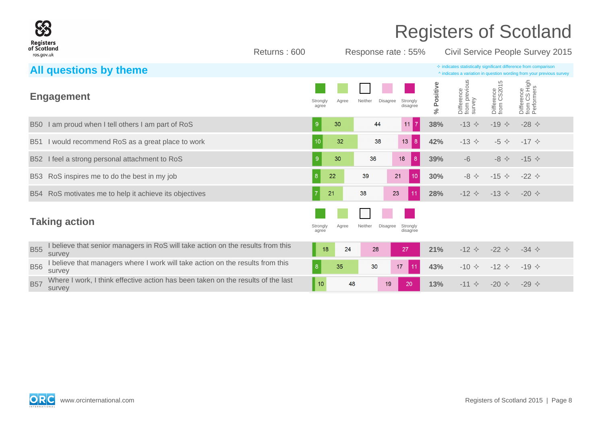

Returns : 600 Response rate : 55% Civil Service People Survey 2015

|            | All questions by theme                                                                     |                   |       |                     |                      |                |                                       |                                | $\diamond$ indicates statistically significant difference from comparison<br>^ indicates a variation in question wording from your previous survey |
|------------|--------------------------------------------------------------------------------------------|-------------------|-------|---------------------|----------------------|----------------|---------------------------------------|--------------------------------|----------------------------------------------------------------------------------------------------------------------------------------------------|
|            | <b>Engagement</b>                                                                          | Strongly<br>agree | Agree | Disagree<br>Neither | Strongly<br>disagree | Positive<br>Š, | Difference<br>from previous<br>survey | 5<br>Difference<br>from CS2015 | Difference<br>from CS High<br>Performers                                                                                                           |
| B50        | I am proud when I tell others I am part of RoS                                             |                   | 30    | 44                  | 11                   | 38%            | $-13$ $\diamond$                      | $-19$ $\diamond$               | -28 $\Diamond$                                                                                                                                     |
|            | B51 I would recommend RoS as a great place to work                                         | 10                | 32    | 38                  | 13<br> 8             | 42%            | $-13$ $\diamond$                      | $-5$ $\leftrightarrow$         | $-17$ $\diamond$                                                                                                                                   |
| <b>B52</b> | I feel a strong personal attachment to RoS                                                 | $9^{\circ}$       | 30    | 36                  | 8<br>18              | 39%            | $-6$                                  | $-8$ $\leftrightarrow$         | $-15 \diamond$                                                                                                                                     |
| B53        | RoS inspires me to do the best in my job                                                   | 8 <sup>°</sup>    | 22    | 39                  | 21<br>10             | 30%            | $-8$ $\diamond$                       | $-15 \diamond$                 | $-22$ $\diamond$                                                                                                                                   |
|            | B54 RoS motivates me to help it achieve its objectives                                     |                   | 21    | 38                  | 23<br>11             | 28%            | $-12 \div$                            | $-13 \diamond$                 | $-20 \diamond$                                                                                                                                     |
|            | <b>Taking action</b>                                                                       | Strongly<br>agree | Agree | Neither<br>Disagree | Strongly<br>disagree |                |                                       |                                |                                                                                                                                                    |
| <b>B55</b> | I believe that senior managers in RoS will take action on the results from this<br>survey  | 18                | 24    | 28                  | 27                   | 21%            | $-12$ $\diamond$                      | $-22 \div$                     | $-34$ $\diamond$                                                                                                                                   |
| <b>B56</b> | I believe that managers where I work will take action on the results from this<br>survey   | 8                 | 35    | 30                  | 17<br>11             | 43%            | $-10 \diamond$                        | $-12$ $\diamond$               | $-19$ $\diamond$                                                                                                                                   |
| <b>B57</b> | Where I work, I think effective action has been taken on the results of the last<br>survey | 10                | 48    | 19                  | 20                   | 13%            | $-11$ $\diamond$                      | $-20 \diamond$                 | $-29$ $\diamond$                                                                                                                                   |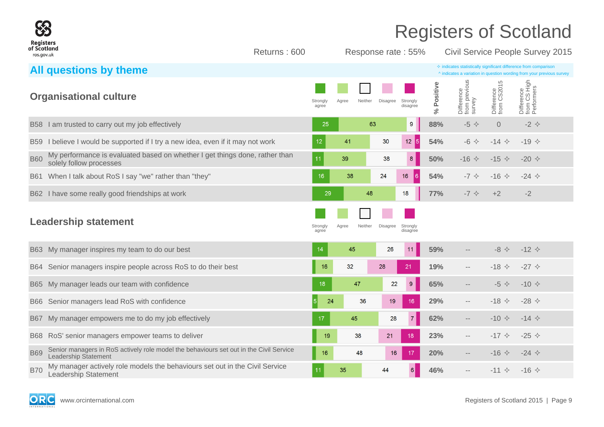

Returns : 600 Response rate : 55% Civil Service People Survey 2015

| All questions by theme                                                                                                       |                                                                           | $\diamond$ indicates statistically significant difference from comparison<br>A indicates a variation in question wording from your previous survey |
|------------------------------------------------------------------------------------------------------------------------------|---------------------------------------------------------------------------|----------------------------------------------------------------------------------------------------------------------------------------------------|
| <b>Organisational culture</b>                                                                                                | Strongly<br>Agree<br>Neither<br>Disagree<br>Strongly<br>disagree<br>agree | Difference<br>from previous<br>survey<br>Difference<br>from CS High<br>Performers<br>Positive<br>Difference<br>from CS2015<br>ಸಿ                   |
| B58 I am trusted to carry out my job effectively                                                                             | 63<br>9<br>25                                                             | 88%<br>$-5$ $\leftrightarrow$<br>$\overline{0}$<br>$-2$ $\leftrightarrow$                                                                          |
| I believe I would be supported if I try a new idea, even if it may not work<br><b>B59</b>                                    | 12<br>$12 \overline{5}$<br>41<br>30                                       | 54%<br>$-6$ $\Leftrightarrow$<br>$-14$ $\diamond$<br>$-19$ $\diamond$                                                                              |
| My performance is evaluated based on whether I get things done, rather than<br><b>B60</b><br>solely follow processes         | 11<br>8<br>39<br>38                                                       | 50%<br>$-15 \diamond$<br>$-16$ $\diamond$<br>$-20 \diamond$                                                                                        |
| When I talk about RoS I say "we" rather than "they"<br><b>B61</b>                                                            | 16<br>16<br>38<br>24<br>I 6.                                              | 54%<br>$-16$ $\diamond$<br>$-7$ $\diamond$<br>$-24$ $\diamond$                                                                                     |
| B62 I have some really good friendships at work                                                                              | 29<br>48<br>18                                                            | 77%<br>$-7$ $\diamond$<br>$+2$<br>$-2$                                                                                                             |
| <b>Leadership statement</b>                                                                                                  | Strongly<br>Agree<br>Neither<br>Disagree<br>Strongly<br>agree<br>disagree |                                                                                                                                                    |
| B63 My manager inspires my team to do our best                                                                               | 45<br>11<br>14<br>26                                                      | 59%<br>$-12$ $\diamond$<br>$-8$ $\Leftrightarrow$                                                                                                  |
| Senior managers inspire people across RoS to do their best<br>B64                                                            | 32<br>28<br>16<br>21                                                      | $-27$ $\diamond$<br>19%<br>$-18$ $\Diamond$<br>$\sim$ $-$                                                                                          |
| My manager leads our team with confidence<br><b>B65</b>                                                                      | $9\,$<br>47<br>22<br>18                                                   | 65%<br>$-10 \diamond$<br>$-5$ $\diamond$<br>$- -$                                                                                                  |
| Senior managers lead RoS with confidence<br><b>B66</b>                                                                       | 5 <br>24<br>36<br>19<br>16                                                | 29%<br>$-18$ $\Diamond$<br>-28 $\Diamond$<br>$- -$                                                                                                 |
| My manager empowers me to do my job effectively<br><b>B67</b>                                                                | $\overline{7}$<br>17<br>45<br>28                                          | 62%<br>$-10 \div$<br>$-14$ $\diamond$<br>$\overline{\phantom{a}}$                                                                                  |
| RoS' senior managers empower teams to deliver<br><b>B68</b>                                                                  | 19<br>38<br>21<br>18                                                      | 23%<br>$-17$ $\diamond$<br>-25 $\diamond$<br>$--$                                                                                                  |
| Senior managers in RoS actively role model the behaviours set out in the Civil Service<br><b>B69</b><br>Leadership Statement | 48<br>17<br>16<br>16                                                      | $-16$ $\Diamond$<br>$-24$ $\diamond$<br>20%<br>$\overline{\phantom{a}}$                                                                            |
| My manager actively role models the behaviours set out in the Civil Service<br><b>B70</b><br><b>Leadership Statement</b>     | 35<br>6<br>11<br>44                                                       | 46%<br>$-11$ $\diamond$<br>$-16 \diamond$<br>$\qquad \qquad -$                                                                                     |

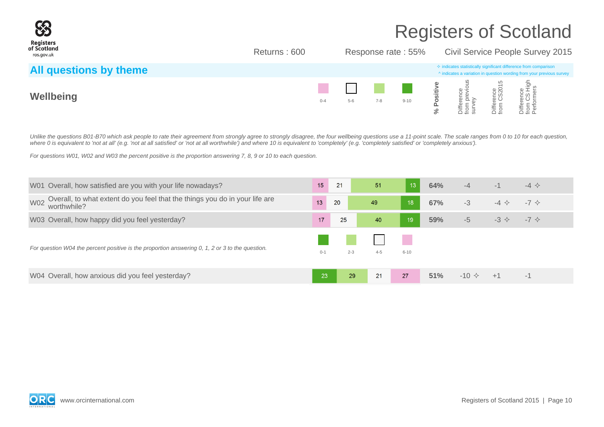

Returns : 600 Response rate : 55% Civil Service People Survey 2015

| All questions by theme |         |       |         |          | $\Diamond$ indicates statistically significant difference from comparison<br>^ indicates a variation in question wording from your previous survey |                                     |                   |                                     |  |
|------------------------|---------|-------|---------|----------|----------------------------------------------------------------------------------------------------------------------------------------------------|-------------------------------------|-------------------|-------------------------------------|--|
| Wellbeing              | $0 - 4$ | $5-6$ | $7 - 8$ | $9 - 10$ |                                                                                                                                                    | 9.5<br>ة ≍<br>$\leqslant \vec{a}$ o | o a<br>S<br>iiffe | က် ကြ<br>enc<br>CS l<br>iffer<br>om |  |

Unlike the questions B01-B70 which ask people to rate their agreement from strongly agree to strongly disagree, the four wellbeing questions use a 11-point scale. The scale ranges from 0 to 10 for each question, where 0 is equivalent to 'not at all' (e.g. 'not at all satisfied' or 'not at all worthwhile') and where 10 is equivalent to 'completely' (e.g. 'completely satisfied' or 'completely anxious').

For questions W01, W02 and W03 the percent positive is the proportion answering 7, 8, 9 or 10 to each question.

| W01 Overall, how satisfied are you with your life nowadays?                                              | 15      | 21      | 51      | 13       | 64% | $-4$           | $-1$                   | $-4$ $\Leftrightarrow$ |
|----------------------------------------------------------------------------------------------------------|---------|---------|---------|----------|-----|----------------|------------------------|------------------------|
| Overall, to what extent do you feel that the things you do in your life are<br><b>W02</b><br>worthwhile? | 13      | 20      | 49      | 18       | 67% | $-3$           | $-4$ $\leftrightarrow$ | $-7 \Leftrightarrow$   |
| W03 Overall, how happy did you feel yesterday?                                                           | 17      | 25      | 40      | 19       | 59% | $-5$           | $-3 \diamondsuit$      | $-7 \Leftrightarrow$   |
| For question W04 the percent positive is the proportion answering 0, 1, 2 or 3 to the question.          | $0 - 1$ | $2 - 3$ | $4 - 5$ | $6 - 10$ |     |                |                        |                        |
| W04 Overall, how anxious did you feel yesterday?                                                         | 23      | 29      | 21      | 27       | 51% | $-10 \diamond$ | $+1$                   | $-1$                   |

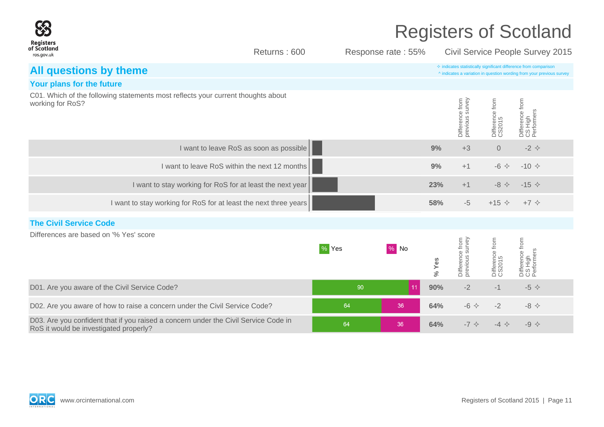|                                                                                                                               |                                               |       |                    | <b>Registers of Scotland</b>                                                                                                                       |                                    |                           |                                          |  |  |
|-------------------------------------------------------------------------------------------------------------------------------|-----------------------------------------------|-------|--------------------|----------------------------------------------------------------------------------------------------------------------------------------------------|------------------------------------|---------------------------|------------------------------------------|--|--|
| Registers<br>of Scotland<br>ros.gov.uk                                                                                        | Returns: 600                                  |       | Response rate: 55% |                                                                                                                                                    |                                    |                           | Civil Service People Survey 2015         |  |  |
| All questions by theme                                                                                                        |                                               |       |                    | $\diamond$ indicates statistically significant difference from comparison<br>^ indicates a variation in question wording from your previous survey |                                    |                           |                                          |  |  |
| Your plans for the future                                                                                                     |                                               |       |                    |                                                                                                                                                    |                                    |                           |                                          |  |  |
| C01. Which of the following statements most reflects your current thoughts about<br>working for RoS?                          |                                               |       |                    |                                                                                                                                                    | Difference from<br>previous survey | Difference from<br>CS2015 | Difference from<br>CS High<br>Performers |  |  |
|                                                                                                                               | I want to leave RoS as soon as possible       |       |                    | 9%                                                                                                                                                 | $+3$                               | $\overline{0}$            | $-2$ $\diamond$                          |  |  |
|                                                                                                                               | I want to leave RoS within the next 12 months |       |                    | 9%                                                                                                                                                 | $+1$                               | $-6$ $\Leftrightarrow$    | $-10 \div$                               |  |  |
| I want to stay working for RoS for at least the next year                                                                     |                                               |       |                    | 23%                                                                                                                                                | $+1$                               | $-8$ $\Leftrightarrow$    | $-15$ $\Diamond$                         |  |  |
| I want to stay working for RoS for at least the next three years                                                              |                                               |       |                    | 58%                                                                                                                                                | $-5$                               | $+15$ $\diamond$          | $+7$ $\diamond$                          |  |  |
| <b>The Civil Service Code</b>                                                                                                 |                                               |       |                    |                                                                                                                                                    |                                    |                           |                                          |  |  |
| Differences are based on '% Yes' score                                                                                        |                                               | % Yes | $\%$ No            | % Yes                                                                                                                                              | Difference from<br>previous survey | Difference from<br>CS2015 | Difference from<br>CS High<br>Performers |  |  |
| D01. Are you aware of the Civil Service Code?                                                                                 |                                               | 90    | 11                 | 90%                                                                                                                                                | $-2$                               | $-1$                      | $-5$ $\diamond$                          |  |  |
| D02. Are you aware of how to raise a concern under the Civil Service Code?                                                    |                                               | 64    | 36                 | 64%                                                                                                                                                | $-6$ $\leftrightarrow$             | $-2$                      | $-8$ $\Leftrightarrow$                   |  |  |
| D03. Are you confident that if you raised a concern under the Civil Service Code in<br>RoS it would be investigated properly? |                                               | 64    | 36                 | 64%                                                                                                                                                | $-7$ $\diamond$                    | $-4$ $\Leftrightarrow$    | $-9$ $\diamond$                          |  |  |

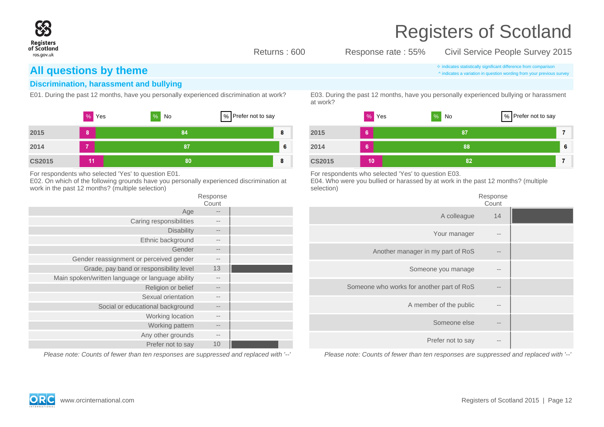

Returns : 600 Response rate : 55% Civil Service People Survey 2015

### **All questions by theme indicates a variation in question wording from vour previous**

### **Discrimination, harassment and bullying**

|               | %<br>Yes | %<br>No | % Prefer not to say |    |               |
|---------------|----------|---------|---------------------|----|---------------|
| 2015          | 8        | 84      |                     | 8  | 2015          |
| 2014          | 7        | 87      |                     | -6 | 2014          |
| <b>CS2015</b> | 11       | 80      |                     | 8  | <b>CS2015</b> |

For respondents who selected 'Yes' to question E01.

E02. On which of the following grounds have you personally experienced discrimination at work in the past 12 months? (multiple selection)

| Response<br>Count |                                                  |
|-------------------|--------------------------------------------------|
|                   | Age                                              |
| $- -$             | Caring responsibilities                          |
| $-1$              | <b>Disability</b>                                |
| $- -$             | Ethnic background                                |
| $- -$             | Gender                                           |
| $- -$             | Gender reassignment or perceived gender          |
| 13                | Grade, pay band or responsibility level          |
| $\qquad \qquad -$ | Main spoken/written language or language ability |
| $-$               | Religion or belief                               |
| --                | Sexual orientation                               |
| $- -$             | Social or educational background                 |
| $- -$             | Working location                                 |
| $- -$             | Working pattern                                  |
| --                | Any other grounds                                |
| 10                | Prefer not to say                                |
|                   |                                                  |

Please note: Counts of fewer than ten responses are suppressed and replaced with '--'

^ indicates a variation in question wording from your previous survey

E01. During the past 12 months, have you personally experienced discrimination at work? E03. During the past 12 months, have you personally experienced bullying or harassment at work?



For respondents who selected 'Yes' to question E03.

E04. Who were you bullied or harassed by at work in the past 12 months? (multiple selection)

| Response<br>Count |                                           |
|-------------------|-------------------------------------------|
| 14                | A colleague                               |
| --                | Your manager                              |
| $- -$             | Another manager in my part of RoS         |
| --                | Someone you manage                        |
|                   | Someone who works for another part of RoS |
| --                | A member of the public                    |
| $- -$             | Someone else                              |
| --                | Prefer not to say                         |
|                   |                                           |

Please note: Counts of fewer than ten responses are suppressed and replaced with '--'

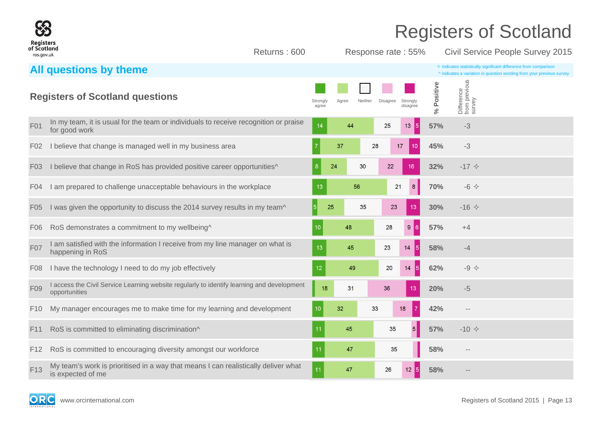

Returns : 600 Response rate : 55% Civil Service People Survey 2015

|                  | All questions by theme                                                                                      |                   |       |         |                 |                                    |                |                                       | $\diamond$ indicates statistically significant difference from comparison<br>^ indicates a variation in question wording from your previous survey |
|------------------|-------------------------------------------------------------------------------------------------------------|-------------------|-------|---------|-----------------|------------------------------------|----------------|---------------------------------------|----------------------------------------------------------------------------------------------------------------------------------------------------|
|                  | <b>Registers of Scotland questions</b>                                                                      | Strongly<br>agree | Agree | Neither | <b>Disagree</b> | Strongly<br>disagree               | Positive<br>వ్ | Difference<br>from previous<br>survey |                                                                                                                                                    |
| F01              | In my team, it is usual for the team or individuals to receive recognition or praise<br>for good work       | 14                | 44    |         | 25              | 13 <sup>°</sup><br>$\vert 5 \vert$ | 57%            | $-3$                                  |                                                                                                                                                    |
| F <sub>02</sub>  | I believe that change is managed well in my business area                                                   |                   | 37    | 28      |                 | 17<br>10 <sup>°</sup>              | 45%            | $-3$                                  |                                                                                                                                                    |
| F <sub>0</sub> 3 | I believe that change in RoS has provided positive career opportunities^                                    | -8                | 24    | 30      | 22              | 16                                 | 32%            | $-17$ $\diamond$                      |                                                                                                                                                    |
| F <sub>04</sub>  | I am prepared to challenge unacceptable behaviours in the workplace                                         | 13                |       | 56      | 21              | 8                                  | 70%            | $-6$ $\leftrightarrow$                |                                                                                                                                                    |
| F <sub>05</sub>  | I was given the opportunity to discuss the 2014 survey results in my team^                                  | 5                 | 25    | 35      | 23              | 13                                 | 30%            | $-16$ $\diamond$                      |                                                                                                                                                    |
| F <sub>06</sub>  | RoS demonstrates a commitment to my wellbeing^                                                              | 10                | 48    |         | 28              | 9 <sub>6</sub>                     | 57%            | $+4$                                  |                                                                                                                                                    |
| F07              | I am satisfied with the information I receive from my line manager on what is<br>happening in RoS           | 13                | 45    |         | 23              | 14<br><b>5</b>                     | 58%            | $-4$                                  |                                                                                                                                                    |
| F <sub>0</sub> 8 | I have the technology I need to do my job effectively                                                       | 12                | 49    |         | 20              | 151<br>14                          | 62%            | $-9$ $\diamondsuit$                   |                                                                                                                                                    |
| F09              | I access the Civil Service Learning website regularly to identify learning and development<br>opportunities | 18                | 31    |         | 36              | 13                                 | 20%            | $-5$                                  |                                                                                                                                                    |
| F <sub>10</sub>  | My manager encourages me to make time for my learning and development                                       | 10                | 32    | 33      |                 | 18<br>  7                          | 42%            | $\sim$ $-$                            |                                                                                                                                                    |
| F <sub>11</sub>  | RoS is committed to eliminating discrimination^                                                             | 11                | 45    |         | 35              | $\overline{5}$                     | 57%            | $-10 \div$                            |                                                                                                                                                    |
| F <sub>12</sub>  | RoS is committed to encouraging diversity amongst our workforce                                             | 11                | 47    |         | 35              |                                    | 58%            | $\sim$ $-$                            |                                                                                                                                                    |
| F <sub>13</sub>  | My team's work is prioritised in a way that means I can realistically deliver what<br>is expected of me     | 11                | 47    |         | 26              | $12\overline{5}$                   | 58%            |                                       |                                                                                                                                                    |